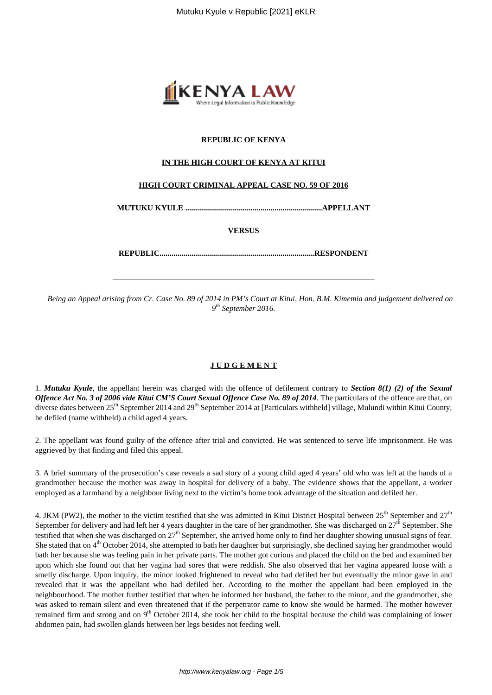

# **REPUBLIC OF KENYA**

## **IN THE HIGH COURT OF KENYA AT KITUI**

### **HIGH COURT CRIMINAL APPEAL CASE NO. 59 OF 2016**

**MUTUKU KYULE .....................................................................APPELLANT**

**VERSUS**

**REPUBLIC..............................................................................RESPONDENT**

\_\_\_\_\_\_\_\_\_\_\_\_\_\_\_\_\_\_\_\_\_\_\_\_\_\_\_\_\_\_\_\_\_\_\_\_\_\_\_\_\_\_\_\_\_\_\_\_\_\_\_\_\_\_\_\_\_\_\_\_\_\_\_\_\_\_

*Being an Appeal arising from Cr. Case No. 89 of 2014 in PM's Court at Kitui, Hon. B.M. Kimemia and judgement delivered on 9 th September 2016.*

### **J U D G E M E N T**

1. *Mutuku Kyule*, the appellant herein was charged with the offence of defilement contrary to *Section 8(1) (2) of the Sexual Offence Act No. 3 of 2006 vide Kitui CM'S Court Sexual Offence Case No. 89 of 2014*. The particulars of the offence are that, on diverse dates between 25<sup>th</sup> September 2014 and 29<sup>th</sup> September 2014 at [Particulars withheld] village, Mulundi within Kitui County, he defiled (name withheld) a child aged 4 years.

2. The appellant was found guilty of the offence after trial and convicted. He was sentenced to serve life imprisonment. He was aggrieved by that finding and filed this appeal.

3. A brief summary of the prosecution's case reveals a sad story of a young child aged 4 years' old who was left at the hands of a grandmother because the mother was away in hospital for delivery of a baby. The evidence shows that the appellant, a worker employed as a farmhand by a neighbour living next to the victim's home took advantage of the situation and defiled her.

4. JKM (PW2), the mother to the victim testified that she was admitted in Kitui District Hospital between 25<sup>th</sup> September and 27<sup>th</sup> September for delivery and had left her 4 years daughter in the care of her grandmother. She was discharged on  $27<sup>th</sup>$  September. She testified that when she was discharged on  $27<sup>th</sup>$  September, she arrived home only to find her daughter showing unusual signs of fear. She stated that on 4<sup>th</sup> October 2014, she attempted to bath her daughter but surprisingly, she declined saying her grandmother would bath her because she was feeling pain in her private parts. The mother got curious and placed the child on the bed and examined her upon which she found out that her vagina had sores that were reddish. She also observed that her vagina appeared loose with a smelly discharge. Upon inquiry, the minor looked frightened to reveal who had defiled her but eventually the minor gave in and revealed that it was the appellant who had defiled her. According to the mother the appellant had been employed in the neighbourhood. The mother further testified that when he informed her husband, the father to the minor, and the grandmother, she was asked to remain silent and even threatened that if the perpetrator came to know she would be harmed. The mother however remained firm and strong and on 9<sup>th</sup> October 2014, she took her child to the hospital because the child was complaining of lower abdomen pain, had swollen glands between her legs besides not feeding well.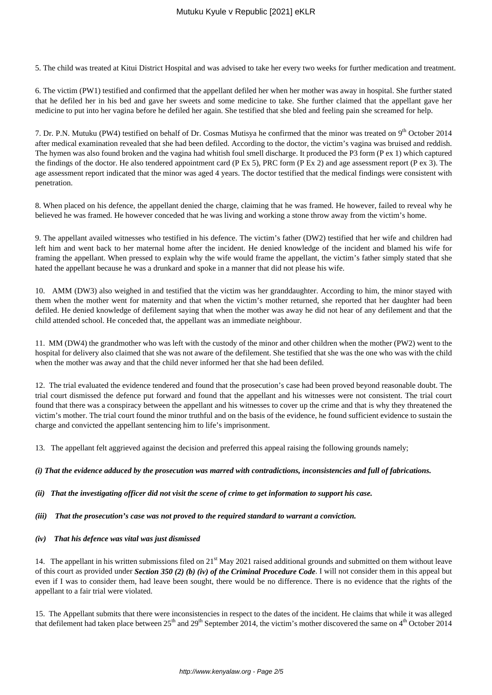5. The child was treated at Kitui District Hospital and was advised to take her every two weeks for further medication and treatment.

6. The victim (PW1) testified and confirmed that the appellant defiled her when her mother was away in hospital. She further stated that he defiled her in his bed and gave her sweets and some medicine to take. She further claimed that the appellant gave her medicine to put into her vagina before he defiled her again. She testified that she bled and feeling pain she screamed for help.

7. Dr. P.N. Mutuku (PW4) testified on behalf of Dr. Cosmas Mutisya he confirmed that the minor was treated on 9<sup>th</sup> October 2014 after medical examination revealed that she had been defiled. According to the doctor, the victim's vagina was bruised and reddish. The hymen was also found broken and the vagina had whitish foul smell discharge. It produced the P3 form (P ex 1) which captured the findings of the doctor. He also tendered appointment card (P Ex 5), PRC form (P Ex 2) and age assessment report (P ex 3). The age assessment report indicated that the minor was aged 4 years. The doctor testified that the medical findings were consistent with penetration.

8. When placed on his defence, the appellant denied the charge, claiming that he was framed. He however, failed to reveal why he believed he was framed. He however conceded that he was living and working a stone throw away from the victim's home.

9. The appellant availed witnesses who testified in his defence. The victim's father (DW2) testified that her wife and children had left him and went back to her maternal home after the incident. He denied knowledge of the incident and blamed his wife for framing the appellant. When pressed to explain why the wife would frame the appellant, the victim's father simply stated that she hated the appellant because he was a drunkard and spoke in a manner that did not please his wife.

10. AMM (DW3) also weighed in and testified that the victim was her granddaughter. According to him, the minor stayed with them when the mother went for maternity and that when the victim's mother returned, she reported that her daughter had been defiled. He denied knowledge of defilement saying that when the mother was away he did not hear of any defilement and that the child attended school. He conceded that, the appellant was an immediate neighbour.

11. MM (DW4) the grandmother who was left with the custody of the minor and other children when the mother (PW2) went to the hospital for delivery also claimed that she was not aware of the defilement. She testified that she was the one who was with the child when the mother was away and that the child never informed her that she had been defiled.

12. The trial evaluated the evidence tendered and found that the prosecution's case had been proved beyond reasonable doubt. The trial court dismissed the defence put forward and found that the appellant and his witnesses were not consistent. The trial court found that there was a conspiracy between the appellant and his witnesses to cover up the crime and that is why they threatened the victim's mother. The trial court found the minor truthful and on the basis of the evidence, he found sufficient evidence to sustain the charge and convicted the appellant sentencing him to life's imprisonment.

13. The appellant felt aggrieved against the decision and preferred this appeal raising the following grounds namely;

### *(i) That the evidence adduced by the prosecution was marred with contradictions, inconsistencies and full of fabrications.*

*(ii) That the investigating officer did not visit the scene of crime to get information to support his case.*

*(iii) That the prosecution's case was not proved to the required standard to warrant a conviction.*

*(iv) That his defence was vital was just dismissed*

14. The appellant in his written submissions filed on  $21<sup>st</sup>$  May 2021 raised additional grounds and submitted on them without leave of this court as provided under *Section 350 (2) (b) (iv) of the Criminal Procedure Code*. I will not consider them in this appeal but even if I was to consider them, had leave been sought, there would be no difference. There is no evidence that the rights of the appellant to a fair trial were violated.

15. The Appellant submits that there were inconsistencies in respect to the dates of the incident. He claims that while it was alleged that defilement had taken place between  $25<sup>th</sup>$  and  $29<sup>th</sup>$  September 2014, the victim's mother discovered the same on  $4<sup>th</sup>$  October 2014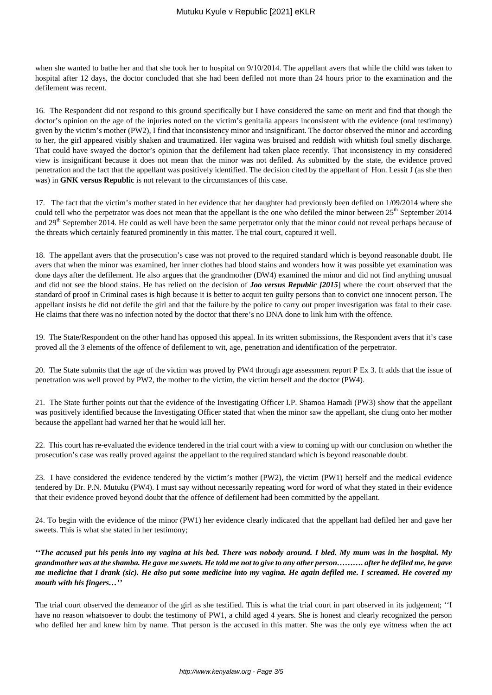when she wanted to bathe her and that she took her to hospital on 9/10/2014. The appellant avers that while the child was taken to hospital after 12 days, the doctor concluded that she had been defiled not more than 24 hours prior to the examination and the defilement was recent.

16. The Respondent did not respond to this ground specifically but I have considered the same on merit and find that though the doctor's opinion on the age of the injuries noted on the victim's genitalia appears inconsistent with the evidence (oral testimony) given by the victim's mother (PW2), I find that inconsistency minor and insignificant. The doctor observed the minor and according to her, the girl appeared visibly shaken and traumatized. Her vagina was bruised and reddish with whitish foul smelly discharge. That could have swayed the doctor's opinion that the defilement had taken place recently. That inconsistency in my considered view is insignificant because it does not mean that the minor was not defiled. As submitted by the state, the evidence proved penetration and the fact that the appellant was positively identified. The decision cited by the appellant of Hon. Lessit J (as she then was) in **GNK versus Republic** is not relevant to the circumstances of this case.

17. The fact that the victim's mother stated in her evidence that her daughter had previously been defiled on 1/09/2014 where she could tell who the perpetrator was does not mean that the appellant is the one who defiled the minor between  $25<sup>th</sup>$  September 2014 and  $29<sup>th</sup>$  September 2014. He could as well have been the same perpetrator only that the minor could not reveal perhaps because of the threats which certainly featured prominently in this matter. The trial court, captured it well.

18. The appellant avers that the prosecution's case was not proved to the required standard which is beyond reasonable doubt. He avers that when the minor was examined, her inner clothes had blood stains and wonders how it was possible yet examination was done days after the defilement. He also argues that the grandmother (DW4) examined the minor and did not find anything unusual and did not see the blood stains. He has relied on the decision of *Joo versus Republic [2015*] where the court observed that the standard of proof in Criminal cases is high because it is better to acquit ten guilty persons than to convict one innocent person. The appellant insists he did not defile the girl and that the failure by the police to carry out proper investigation was fatal to their case. He claims that there was no infection noted by the doctor that there's no DNA done to link him with the offence.

19. The State/Respondent on the other hand has opposed this appeal. In its written submissions, the Respondent avers that it's case proved all the 3 elements of the offence of defilement to wit, age, penetration and identification of the perpetrator.

20. The State submits that the age of the victim was proved by PW4 through age assessment report P Ex 3. It adds that the issue of penetration was well proved by PW2, the mother to the victim, the victim herself and the doctor (PW4).

21. The State further points out that the evidence of the Investigating Officer I.P. Shamoa Hamadi (PW3) show that the appellant was positively identified because the Investigating Officer stated that when the minor saw the appellant, she clung onto her mother because the appellant had warned her that he would kill her.

22. This court has re-evaluated the evidence tendered in the trial court with a view to coming up with our conclusion on whether the prosecution's case was really proved against the appellant to the required standard which is beyond reasonable doubt.

23. I have considered the evidence tendered by the victim's mother (PW2), the victim (PW1) herself and the medical evidence tendered by Dr. P.N. Mutuku (PW4). I must say without necessarily repeating word for word of what they stated in their evidence that their evidence proved beyond doubt that the offence of defilement had been committed by the appellant.

24. To begin with the evidence of the minor (PW1) her evidence clearly indicated that the appellant had defiled her and gave her sweets. This is what she stated in her testimony;

*''The accused put his penis into my vagina at his bed. There was nobody around. I bled. My mum was in the hospital. My grandmother was at the shamba. He gave me sweets. He told me not to give to any other person………. after he defiled me, he gave me medicine that I drank (sic). He also put some medicine into my vagina. He again defiled me. I screamed. He covered my mouth with his fingers…''*

The trial court observed the demeanor of the girl as she testified. This is what the trial court in part observed in its judgement; ''I have no reason whatsoever to doubt the testimony of PW1, a child aged 4 years. She is honest and clearly recognized the person who defiled her and knew him by name. That person is the accused in this matter. She was the only eye witness when the act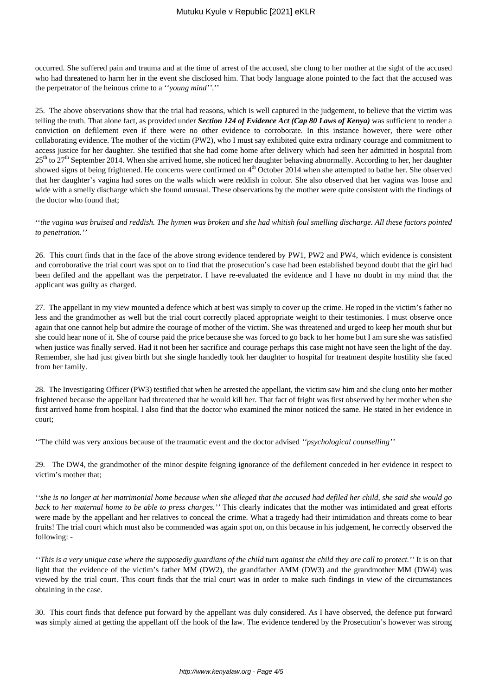occurred. She suffered pain and trauma and at the time of arrest of the accused, she clung to her mother at the sight of the accused who had threatened to harm her in the event she disclosed him. That body language alone pointed to the fact that the accused was the perpetrator of the heinous crime to a ''*young mind''*.''

25. The above observations show that the trial had reasons, which is well captured in the judgement, to believe that the victim was telling the truth. That alone fact, as provided under *Section 124 of Evidence Act (Cap 80 Laws of Kenya)* was sufficient to render a conviction on defilement even if there were no other evidence to corroborate. In this instance however, there were other collaborating evidence. The mother of the victim (PW2), who I must say exhibited quite extra ordinary courage and commitment to access justice for her daughter. She testified that she had come home after delivery which had seen her admitted in hospital from  $25<sup>th</sup>$  to  $27<sup>th</sup>$  September 2014. When she arrived home, she noticed her daughter behaving abnormally. According to her, her daughter showed signs of being frightened. He concerns were confirmed on  $4<sup>th</sup>$  October 2014 when she attempted to bathe her. She observed that her daughter's vagina had sores on the walls which were reddish in colour. She also observed that her vagina was loose and wide with a smelly discharge which she found unusual. These observations by the mother were quite consistent with the findings of the doctor who found that;

''*the vagina was bruised and reddish. The hymen was broken and she had whitish foul smelling discharge. All these factors pointed to penetration.''* 

26. This court finds that in the face of the above strong evidence tendered by PW1, PW2 and PW4, which evidence is consistent and corroborative the trial court was spot on to find that the prosecution's case had been established beyond doubt that the girl had been defiled and the appellant was the perpetrator. I have re-evaluated the evidence and I have no doubt in my mind that the applicant was guilty as charged.

27. The appellant in my view mounted a defence which at best was simply to cover up the crime. He roped in the victim's father no less and the grandmother as well but the trial court correctly placed appropriate weight to their testimonies. I must observe once again that one cannot help but admire the courage of mother of the victim. She was threatened and urged to keep her mouth shut but she could hear none of it. She of course paid the price because she was forced to go back to her home but I am sure she was satisfied when justice was finally served. Had it not been her sacrifice and courage perhaps this case might not have seen the light of the day. Remember, she had just given birth but she single handedly took her daughter to hospital for treatment despite hostility she faced from her family.

28. The Investigating Officer (PW3) testified that when he arrested the appellant, the victim saw him and she clung onto her mother frightened because the appellant had threatened that he would kill her. That fact of fright was first observed by her mother when she first arrived home from hospital. I also find that the doctor who examined the minor noticed the same. He stated in her evidence in court;

''The child was very anxious because of the traumatic event and the doctor advised *''psychological counselling''*

29. The DW4, the grandmother of the minor despite feigning ignorance of the defilement conceded in her evidence in respect to victim's mother that;

*''she is no longer at her matrimonial home because when she alleged that the accused had defiled her child, she said she would go back to her maternal home to be able to press charges.''* This clearly indicates that the mother was intimidated and great efforts were made by the appellant and her relatives to conceal the crime. What a tragedy had their intimidation and threats come to bear fruits! The trial court which must also be commended was again spot on, on this because in his judgement, he correctly observed the following: -

*''This is a very unique case where the supposedly guardians of the child turn against the child they are call to protect.''* It is on that light that the evidence of the victim's father MM (DW2), the grandfather AMM (DW3) and the grandmother MM (DW4) was viewed by the trial court. This court finds that the trial court was in order to make such findings in view of the circumstances obtaining in the case.

30. This court finds that defence put forward by the appellant was duly considered. As I have observed, the defence put forward was simply aimed at getting the appellant off the hook of the law. The evidence tendered by the Prosecution's however was strong